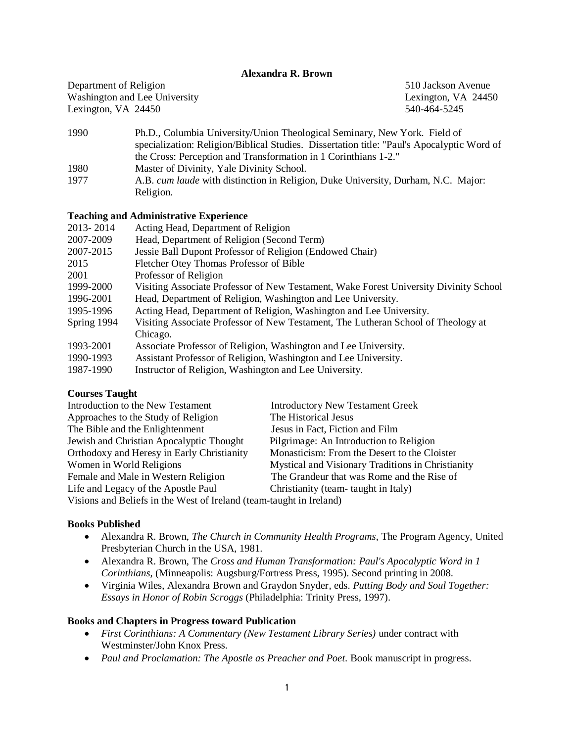## **Alexandra R. Brown**

Department of Religion 510 Jackson Avenue Washington and Lee University Lexington, VA 24450 Lexington, VA 24450 540-464-5245

- 1990 Ph.D., Columbia University/Union Theological Seminary, New York. Field of specialization: Religion/Biblical Studies. Dissertation title: "Paul's Apocalyptic Word of the Cross: Perception and Transformation in 1 Corinthians 1-2." 1980 Master of Divinity, Yale Divinity School.
- 1977 A.B. *cum laude* with distinction in Religion, Duke University, Durham, N.C. Major: Religion.

## **Teaching and Administrative Experience**

| 2013-2014   | Acting Head, Department of Religion                                                   |  |
|-------------|---------------------------------------------------------------------------------------|--|
| 2007-2009   | Head, Department of Religion (Second Term)                                            |  |
| 2007-2015   | Jessie Ball Dupont Professor of Religion (Endowed Chair)                              |  |
| 2015        | Fletcher Otey Thomas Professor of Bible                                               |  |
| 2001        | Professor of Religion                                                                 |  |
| 1999-2000   | Visiting Associate Professor of New Testament, Wake Forest University Divinity School |  |
| 1996-2001   | Head, Department of Religion, Washington and Lee University.                          |  |
| 1995-1996   | Acting Head, Department of Religion, Washington and Lee University.                   |  |
| Spring 1994 | Visiting Associate Professor of New Testament, The Lutheran School of Theology at     |  |
|             | Chicago.                                                                              |  |
| 1993-2001   | Associate Professor of Religion, Washington and Lee University.                       |  |
| 1990-1993   | Assistant Professor of Religion, Washington and Lee University.                       |  |
| 1987-1990   | Instructor of Religion, Washington and Lee University.                                |  |

## **Courses Taught**

| Introduction to the New Testament                                   | <b>Introductory New Testament Greek</b>           |  |
|---------------------------------------------------------------------|---------------------------------------------------|--|
| Approaches to the Study of Religion                                 | The Historical Jesus                              |  |
| The Bible and the Enlightenment                                     | Jesus in Fact, Fiction and Film                   |  |
| Jewish and Christian Apocalyptic Thought                            | Pilgrimage: An Introduction to Religion           |  |
| Orthodoxy and Heresy in Early Christianity                          | Monasticism: From the Desert to the Cloister      |  |
| Women in World Religions                                            | Mystical and Visionary Traditions in Christianity |  |
| Female and Male in Western Religion                                 | The Grandeur that was Rome and the Rise of        |  |
| Life and Legacy of the Apostle Paul                                 | Christianity (team- taught in Italy)              |  |
| Visions and Beliefs in the West of Ireland (team-taught in Ireland) |                                                   |  |

**Books Published**

- Alexandra R. Brown, *The Church in Community Health Programs*, The Program Agency, United Presbyterian Church in the USA, 1981.
- Alexandra R. Brown, The *Cross and Human Transformation: Paul's Apocalyptic Word in 1 Corinthians*, (Minneapolis: Augsburg/Fortress Press, 1995). Second printing in 2008.
- Virginia Wiles, Alexandra Brown and Graydon Snyder*,* eds. *Putting Body and Soul Together: Essays in Honor of Robin Scroggs* (Philadelphia: Trinity Press, 1997).

## **Books and Chapters in Progress toward Publication**

- *First Corinthians: A Commentary (New Testament Library Series)* under contract with Westminster/John Knox Press.
- *Paul and Proclamation: The Apostle as Preacher and Poet.* Book manuscript in progress.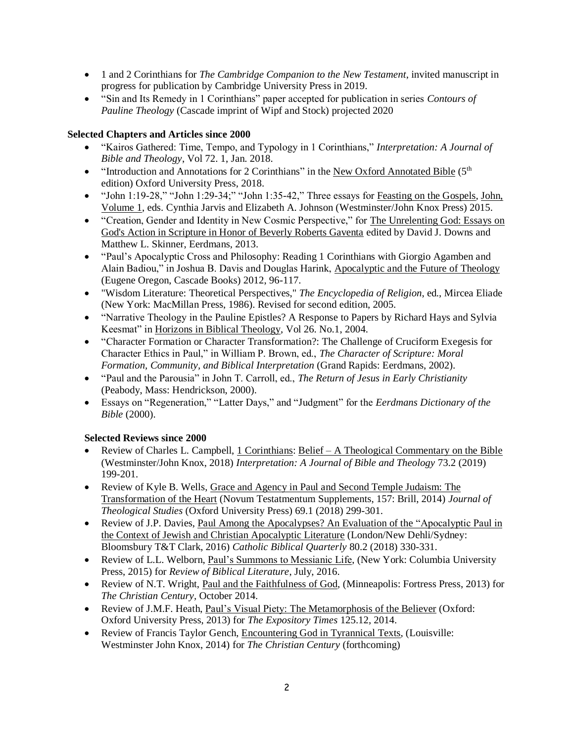- 1 and 2 Corinthians for *The Cambridge Companion to the New Testament*, invited manuscript in progress for publication by Cambridge University Press in 2019.
- "Sin and Its Remedy in 1 Corinthians" paper accepted for publication in series *Contours of Pauline Theology* (Cascade imprint of Wipf and Stock) projected 2020

## **Selected Chapters and Articles since 2000**

- "Kairos Gathered: Time, Tempo, and Typology in 1 Corinthians," *Interpretation: A Journal of Bible and Theology*, Vol 72. 1, Jan. 2018.
- "Introduction and Annotations for 2 Corinthians" in the New Oxford Annotated Bible ( $5<sup>th</sup>$ edition) Oxford University Press, 2018.
- "John 1:19-28," "John 1:29-34;" "John 1:35-42," Three essays for Feasting on the Gospels, John, Volume 1, eds. Cynthia Jarvis and Elizabeth A. Johnson (Westminster/John Knox Press) 2015.
- "Creation, Gender and Identity in New Cosmic Perspective," for The Unrelenting God: Essays on God's Action in Scripture in Honor of Beverly Roberts Gaventa edited by David J. Downs and Matthew L. Skinner, Eerdmans, 2013.
- "Paul's Apocalyptic Cross and Philosophy: Reading 1 Corinthians with Giorgio Agamben and Alain Badiou," in Joshua B. Davis and Douglas Harink, Apocalyptic and the Future of Theology (Eugene Oregon, Cascade Books) 2012, 96-117.
- "Wisdom Literature: Theoretical Perspectives," *The Encyclopedia of Religion*, ed., Mircea Eliade (New York: MacMillan Press, 1986). Revised for second edition, 2005.
- "Narrative Theology in the Pauline Epistles? A Response to Papers by Richard Hays and Sylvia Keesmat" in Horizons in Biblical Theology, Vol 26. No.1, 2004.
- "Character Formation or Character Transformation?: The Challenge of Cruciform Exegesis for Character Ethics in Paul," in William P. Brown, ed., *The Character of Scripture: Moral Formation, Community, and Biblical Interpretation* (Grand Rapids: Eerdmans, 2002).
- "Paul and the Parousia" in John T. Carroll, ed., *The Return of Jesus in Early Christianity*  (Peabody, Mass: Hendrickson, 2000).
- Essays on "Regeneration," "Latter Days," and "Judgment" for the *Eerdmans Dictionary of the Bible* (2000).

# **Selected Reviews since 2000**

- Review of Charles L. Campbell, 1 Corinthians: Belief A Theological Commentary on the Bible (Westminster/John Knox, 2018) *Interpretation: A Journal of Bible and Theology* 73.2 (2019) 199-201.
- Review of Kyle B. Wells, Grace and Agency in Paul and Second Temple Judaism: The Transformation of the Heart (Novum Testatmentum Supplements, 157: Brill, 2014) *Journal of Theological Studies* (Oxford University Press) 69.1 (2018) 299-301.
- Review of J.P. Davies, Paul Among the Apocalypses? An Evaluation of the "Apocalyptic Paul in the Context of Jewish and Christian Apocalyptic Literature (London/New Dehli/Sydney: Bloomsbury T&T Clark, 2016) *Catholic Biblical Quarterly* 80.2 (2018) 330-331.
- Review of L.L. Welborn, Paul's Summons to Messianic Life, (New York: Columbia University Press, 2015) for *Review of Biblical Literature*, July, 2016.
- Review of N.T. Wright, Paul and the Faithfulness of God, (Minneapolis: Fortress Press, 2013) for *The Christian Century,* October 2014.
- Review of J.M.F. Heath, Paul's Visual Piety: The Metamorphosis of the Believer (Oxford: Oxford University Press, 2013) for *The Expository Times* 125.12, 2014.
- Review of Francis Taylor Gench, Encountering God in Tyrannical Texts, (Louisville: Westminster John Knox, 2014) for *The Christian Century* (forthcoming)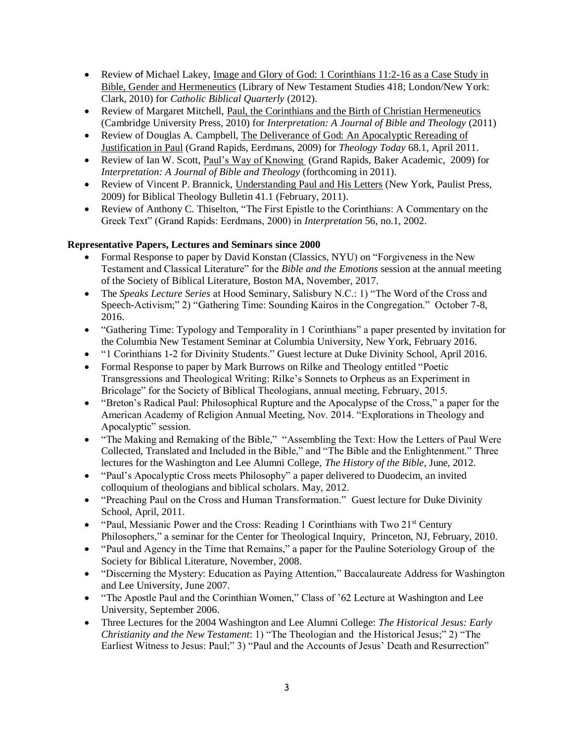- Review of Michael Lakey, Image and Glory of God: 1 Corinthians 11:2-16 as a Case Study in Bible, Gender and Hermeneutics (Library of New Testament Studies 418; London/New York: Clark, 2010) for *Catholic Biblical Quarterly* (2012).
- Review of Margaret Mitchell, Paul, the Corinthians and the Birth of Christian Hermeneutics (Cambridge University Press, 2010) for *Interpretation: A Journal of Bible and Theology* (2011)
- Review of Douglas A. Campbell, The Deliverance of God: An Apocalyptic Rereading of Justification in Paul (Grand Rapids, Eerdmans, 2009) for *Theology Today* 68.1, April 2011.
- Review of Ian W. Scott, Paul's Way of Knowing (Grand Rapids, Baker Academic, 2009) for *Interpretation: A Journal of Bible and Theology* (forthcoming in 2011).
- Review of Vincent P. Brannick, Understanding Paul and His Letters (New York, Paulist Press, 2009) for Biblical Theology Bulletin 41.1 (February, 2011).
- Review of Anthony C. Thiselton, "The First Epistle to the Corinthians: A Commentary on the Greek Text" (Grand Rapids: Eerdmans, 2000) in *Interpretation* 56, no.1, 2002.

# **Representative Papers, Lectures and Seminars since 2000**

- Formal Response to paper by David Konstan (Classics, NYU) on "Forgiveness in the New Testament and Classical Literature" for the *Bible and the Emotions* session at the annual meeting of the Society of Biblical Literature, Boston MA, November, 2017.
- The *Speaks Lecture Series* at Hood Seminary, Salisbury N.C.: 1) "The Word of the Cross and Speech-Activism;" 2) "Gathering Time: Sounding Kairos in the Congregation." October 7-8, 2016.
- "Gathering Time: Typology and Temporality in 1 Corinthians" a paper presented by invitation for the Columbia New Testament Seminar at Columbia University, New York, February 2016.
- "1 Corinthians 1-2 for Divinity Students." Guest lecture at Duke Divinity School, April 2016.
- Formal Response to paper by Mark Burrows on Rilke and Theology entitled "Poetic Transgressions and Theological Writing: Rilke's Sonnets to Orpheus as an Experiment in Bricolage" for the Society of Biblical Theologians, annual meeting, February, 2015.
- "Breton's Radical Paul: Philosophical Rupture and the Apocalypse of the Cross," a paper for the American Academy of Religion Annual Meeting, Nov. 2014. "Explorations in Theology and Apocalyptic" session.
- "The Making and Remaking of the Bible," "Assembling the Text: How the Letters of Paul Were Collected, Translated and Included in the Bible," and "The Bible and the Enlightenment." Three lectures for the Washington and Lee Alumni College, *The History of the Bible*, June, 2012.
- "Paul's Apocalyptic Cross meets Philosophy" a paper delivered to Duodecim, an invited colloquium of theologians and biblical scholars. May, 2012.
- "Preaching Paul on the Cross and Human Transformation." Guest lecture for Duke Divinity School, April, 2011.
- "Paul, Messianic Power and the Cross: Reading 1 Corinthians with Two  $21<sup>st</sup>$  Century Philosophers," a seminar for the Center for Theological Inquiry, Princeton, NJ, February, 2010.
- "Paul and Agency in the Time that Remains," a paper for the Pauline Soteriology Group of the Society for Biblical Literature, November, 2008.
- "Discerning the Mystery: Education as Paying Attention," Baccalaureate Address for Washington and Lee University, June 2007.
- "The Apostle Paul and the Corinthian Women," Class of '62 Lecture at Washington and Lee University, September 2006.
- Three Lectures for the 2004 Washington and Lee Alumni College: *The Historical Jesus: Early Christianity and the New Testament*: 1) "The Theologian and the Historical Jesus;" 2) "The Earliest Witness to Jesus: Paul;" 3) "Paul and the Accounts of Jesus' Death and Resurrection"